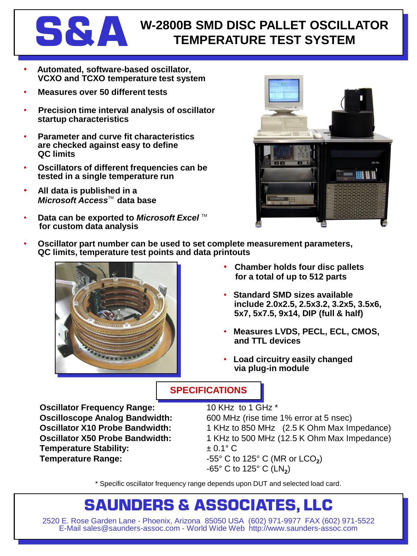

### **S&A W-2800B SMD DISC PALLET OSCILLATOR TEMPERATURE TEST SYSTEM**

- **Automated, software-based oscillator, VCXO and TCXO temperature test system**
- **Measures over 50 different tests**
- **Precision time interval analysis of oscillator startup characteristics**
- **Parameter and curve fit characteristics are checked against easy to define QC limits**
- **Oscillators of different frequencies can be tested in a single temperature run**
- **All data is published in a** *Microsoft Access*™ data base
- **Data can be exported to Microsoft Excel**™ **for custom data analysis**



• **Oscillator part number can be used to set complete measurement parameters, QC limits, temperature test points and data printouts**



- **Chamber holds four disc pallets for a total of up to 512 parts**
- **Standard SMD sizes available include 2.0x2.5, 2.5x3.2, 3.2x5, 3.5x6, 5x7, 5x7.5, 9x14, DIP (full & half)**
- **Measures LVDS, PECL, ECL, CMOS, and TTL devices**
- **Load circuitry easily changed via plug-in module**

### **SPECIFICATIONS**

**Oscillator Frequency Range:** 10 KHz to 1 GHz \* **Temperature Stability:**  $\pm 0.1^{\circ} \text{ C}$ **Temperature Range:**  $-55^{\circ}$  C to 125° C (MR or LCO<sub>2</sub>)

**Oscilloscope Analog Bandwidth:** 600 MHz (rise time 1% error at 5 nsec) **Oscillator X10 Probe Bandwidth:** 1 KHz to 850 MHz (2.5 K Ohm Max Impedance) **Oscillator X50 Probe Bandwidth:** 1 KHz to 500 MHz (12.5 K Ohm Max Impedance) -65° C to 125° C (LN**<sup>2</sup>** )

\* Specific oscillator frequency range depends upon DUT and selected load card.

## **SAUNDERS & ASSOCIATES, LLC**

2520 E. Rose Garden Lane - Phoenix, Arizona 85050 USA (602) 971-9977 FAX (602) 971-5522 E-Mail sales@saunders-assoc.com - World Wide Web http://www.saunders-assoc.com